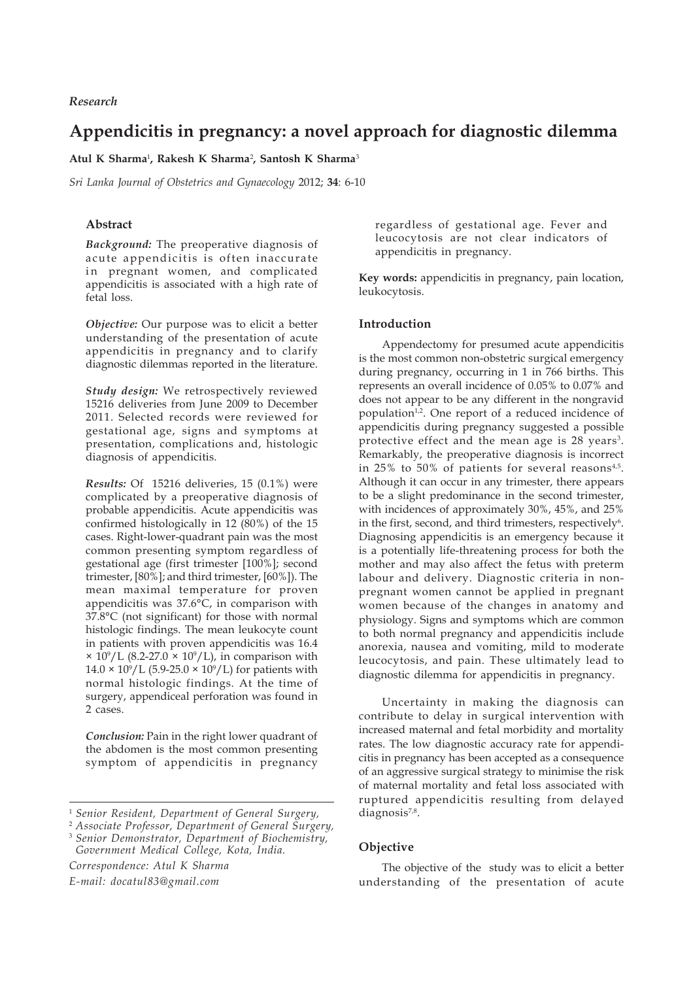# **Appendicitis in pregnancy: a novel approach for diagnostic dilemma**

**Atul K Sharma**<sup>1</sup> **, Rakesh K Sharma**<sup>2</sup> **, Santosh K Sharma**<sup>3</sup>

*Sri Lanka Journal of Obstetrics and Gynaecology* 2012; **34**: 6-10

## **Abstract**

*Background:* The preoperative diagnosis of acute appendicitis is often inaccurate in pregnant women, and complicated appendicitis is associated with a high rate of fetal loss.

*Objective:* Our purpose was to elicit a better understanding of the presentation of acute appendicitis in pregnancy and to clarify diagnostic dilemmas reported in the literature.

*Study design:* We retrospectively reviewed 15216 deliveries from June 2009 to December 2011. Selected records were reviewed for gestational age, signs and symptoms at presentation, complications and, histologic diagnosis of appendicitis.

*Results:* Of 15216 deliveries, 15 (0.1%) were complicated by a preoperative diagnosis of probable appendicitis. Acute appendicitis was confirmed histologically in 12 (80%) of the 15 cases. Right-lower-quadrant pain was the most common presenting symptom regardless of gestational age (first trimester [100%]; second trimester, [80%]; and third trimester, [60%]). The mean maximal temperature for proven appendicitis was 37.6°C, in comparison with 37.8°C (not significant) for those with normal histologic findings. The mean leukocyte count in patients with proven appendicitis was 16.4  $\times$  10<sup>9</sup>/L (8.2-27.0  $\times$  10<sup>9</sup>/L), in comparison with  $14.0 \times 10^9/L$  (5.9-25.0  $\times 10^9/L$ ) for patients with normal histologic findings. At the time of surgery, appendiceal perforation was found in 2 cases.

*Conclusion:* Pain in the right lower quadrant of the abdomen is the most common presenting symptom of appendicitis in pregnancy

*Government Medical College, Kota, India.*

*Correspondence: Atul K Sharma E-mail: docatul83@gmail.com*

regardless of gestational age. Fever and leucocytosis are not clear indicators of appendicitis in pregnancy.

**Key words:** appendicitis in pregnancy, pain location, leukocytosis.

### **Introduction**

Appendectomy for presumed acute appendicitis is the most common non-obstetric surgical emergency during pregnancy, occurring in 1 in 766 births. This represents an overall incidence of 0.05% to 0.07% and does not appear to be any different in the nongravid population<sup>1,2</sup>. One report of a reduced incidence of appendicitis during pregnancy suggested a possible protective effect and the mean age is 28 years<sup>3</sup>. Remarkably, the preoperative diagnosis is incorrect in 25% to 50% of patients for several reasons $4.5$ . Although it can occur in any trimester, there appears to be a slight predominance in the second trimester, with incidences of approximately 30%, 45%, and 25% in the first, second, and third trimesters, respectively<sup>6</sup>. Diagnosing appendicitis is an emergency because it is a potentially life-threatening process for both the mother and may also affect the fetus with preterm labour and delivery. Diagnostic criteria in nonpregnant women cannot be applied in pregnant women because of the changes in anatomy and physiology. Signs and symptoms which are common to both normal pregnancy and appendicitis include anorexia, nausea and vomiting, mild to moderate leucocytosis, and pain. These ultimately lead to diagnostic dilemma for appendicitis in pregnancy.

Uncertainty in making the diagnosis can contribute to delay in surgical intervention with increased maternal and fetal morbidity and mortality rates. The low diagnostic accuracy rate for appendicitis in pregnancy has been accepted as a consequence of an aggressive surgical strategy to minimise the risk of maternal mortality and fetal loss associated with ruptured appendicitis resulting from delayed diagnosis<sup>7,8</sup>.

## **Objective**

The objective of the study was to elicit a better understanding of the presentation of acute

<sup>1</sup> *Senior Resident, Department of General Surgery,*

<sup>2</sup> *Associate Professor, Department of General Surgery,* <sup>3</sup> *Senior Demonstrator, Department of Biochemistry,*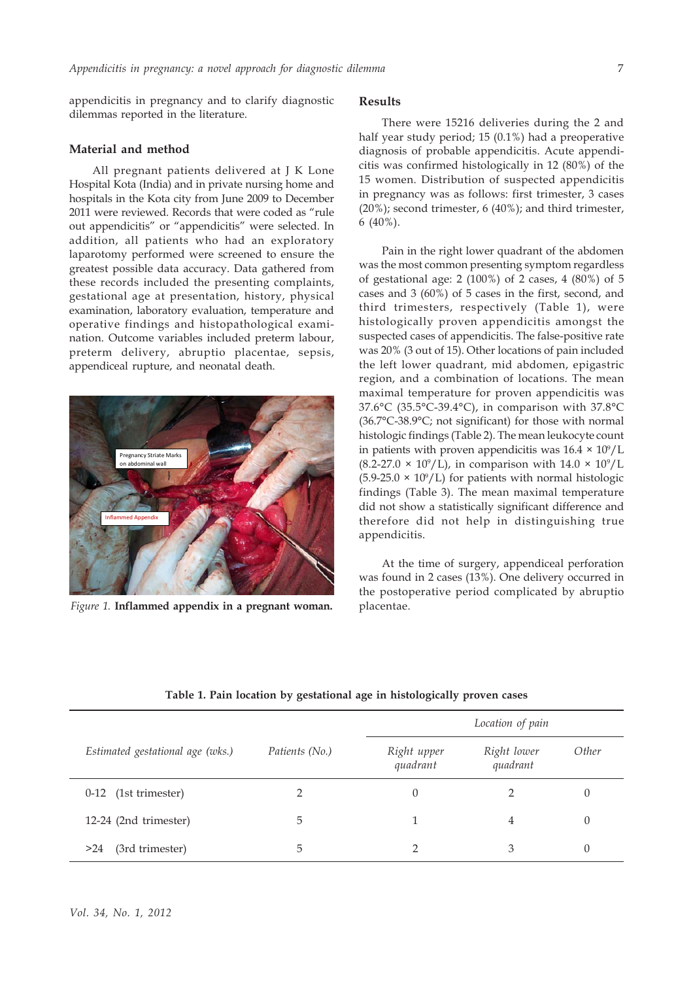appendicitis in pregnancy and to clarify diagnostic dilemmas reported in the literature.

### **Material and method**

All pregnant patients delivered at J K Lone Hospital Kota (India) and in private nursing home and hospitals in the Kota city from June 2009 to December 2011 were reviewed. Records that were coded as "rule out appendicitis" or "appendicitis" were selected. In addition, all patients who had an exploratory laparotomy performed were screened to ensure the greatest possible data accuracy. Data gathered from these records included the presenting complaints, gestational age at presentation, history, physical examination, laboratory evaluation, temperature and operative findings and histopathological examination. Outcome variables included preterm labour, preterm delivery, abruptio placentae, sepsis, appendiceal rupture, and neonatal death.



*Figure 1.* **Inflammed appendix in a pregnant woman.**

# **Results**

There were 15216 deliveries during the 2 and half year study period; 15 (0.1%) had a preoperative diagnosis of probable appendicitis. Acute appendicitis was confirmed histologically in 12 (80%) of the 15 women. Distribution of suspected appendicitis in pregnancy was as follows: first trimester, 3 cases (20%); second trimester, 6 (40%); and third trimester, 6 (40%).

Pain in the right lower quadrant of the abdomen was the most common presenting symptom regardless of gestational age: 2 (100%) of 2 cases, 4 (80%) of 5 cases and 3 (60%) of 5 cases in the first, second, and third trimesters, respectively (Table 1), were histologically proven appendicitis amongst the suspected cases of appendicitis. The false-positive rate was 20% (3 out of 15). Other locations of pain included the left lower quadrant, mid abdomen, epigastric region, and a combination of locations. The mean maximal temperature for proven appendicitis was 37.6°C (35.5°C-39.4°C), in comparison with 37.8°C (36.7°C-38.9°C; not significant) for those with normal histologic findings (Table 2). The mean leukocyte count in patients with proven appendicitis was  $16.4 \times 10^9$ /L  $(8.2\n-27.0 \times 10^9/\text{L})$ , in comparison with  $14.0 \times 10^9/\text{L}$  $(5.9-25.0 \times 10^9$ /L) for patients with normal histologic findings (Table 3). The mean maximal temperature did not show a statistically significant difference and therefore did not help in distinguishing true appendicitis.

At the time of surgery, appendiceal perforation was found in 2 cases (13%). One delivery occurred in the postoperative period complicated by abruptio placentae.

|                                  |                | Location of pain        |                         |          |
|----------------------------------|----------------|-------------------------|-------------------------|----------|
| Estimated gestational age (wks.) | Patients (No.) | Right upper<br>quadrant | Right lower<br>quadrant | Other    |
| 0-12 (1st trimester)             |                | 0                       |                         | 0        |
| 12-24 (2nd trimester)            | 5              |                         | 4                       | 0        |
| (3rd trimester)<br>>24           | 5              | ∍                       | 3                       | $\theta$ |

**Table 1. Pain location by gestational age in histologically proven cases**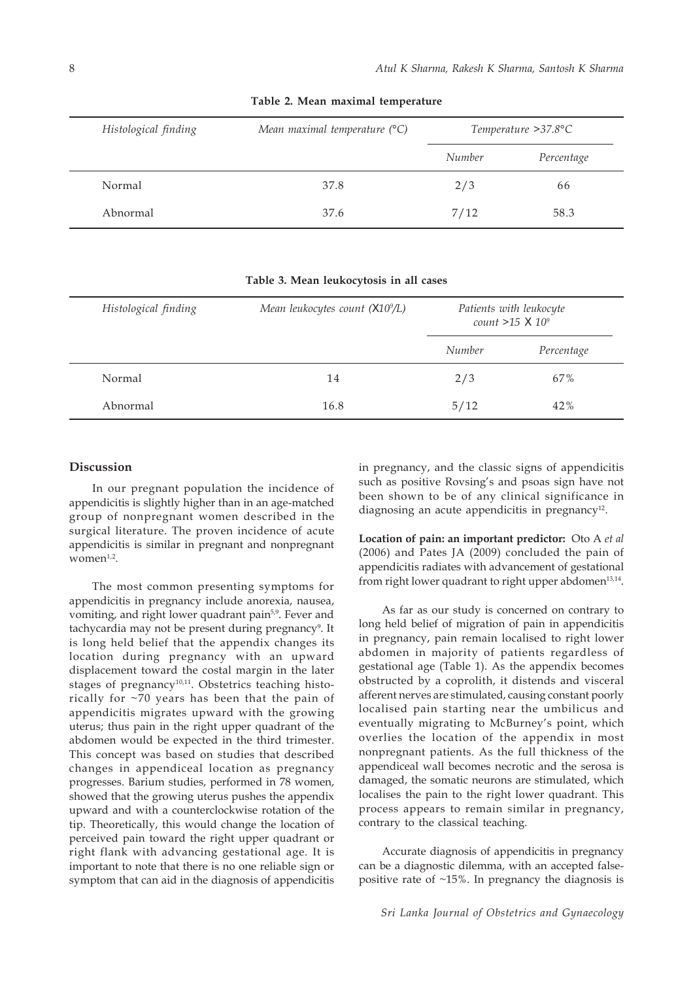| Histological finding | Mean maximal temperature $(°C)$ | Temperature $>37.8$ °C |            |  |
|----------------------|---------------------------------|------------------------|------------|--|
|                      |                                 | Number                 | Percentage |  |
| Normal               | 37.8                            | 2/3                    | 66         |  |
| Abnormal             | 37.6                            | 7/12                   | 58.3       |  |

**Table 2. Mean maximal temperature**

|  | Table 3. Mean leukocytosis in all cases |  |  |
|--|-----------------------------------------|--|--|
|  |                                         |  |  |

| Histological finding | Mean leukocytes count (X10 <sup>9</sup> /L) | Patients with leukocyte<br>count $>15$ X $10^9$ |            |
|----------------------|---------------------------------------------|-------------------------------------------------|------------|
|                      |                                             | Number                                          | Percentage |
| Normal               | 14                                          | 2/3                                             | 67%        |
| Abnormal             | 16.8                                        | 5/12                                            | 42%        |

### **Discussion**

In our pregnant population the incidence of appendicitis is slightly higher than in an age-matched group of nonpregnant women described in the surgical literature. The proven incidence of acute appendicitis is similar in pregnant and nonpregnant women $1,2$ .

The most common presenting symptoms for appendicitis in pregnancy include anorexia, nausea, vomiting, and right lower quadrant pain<sup>5,9</sup>. Fever and tachycardia may not be present during pregnancy<sup>9</sup>. It is long held belief that the appendix changes its location during pregnancy with an upward displacement toward the costal margin in the later stages of pregnancy<sup>10,11</sup>. Obstetrics teaching historically for ~70 years has been that the pain of appendicitis migrates upward with the growing uterus; thus pain in the right upper quadrant of the abdomen would be expected in the third trimester. This concept was based on studies that described changes in appendiceal location as pregnancy progresses. Barium studies, performed in 78 women, showed that the growing uterus pushes the appendix upward and with a counterclockwise rotation of the tip. Theoretically, this would change the location of perceived pain toward the right upper quadrant or right flank with advancing gestational age. It is important to note that there is no one reliable sign or symptom that can aid in the diagnosis of appendicitis

in pregnancy, and the classic signs of appendicitis such as positive Rovsing's and psoas sign have not been shown to be of any clinical significance in diagnosing an acute appendicitis in pregnancy<sup>12</sup>.

**Location of pain: an important predictor:** Oto A *et al* (2006) and Pates JA (2009) concluded the pain of appendicitis radiates with advancement of gestational from right lower quadrant to right upper abdomen<sup>13,14</sup>.

As far as our study is concerned on contrary to long held belief of migration of pain in appendicitis in pregnancy, pain remain localised to right lower abdomen in majority of patients regardless of gestational age (Table 1). As the appendix becomes obstructed by a coprolith, it distends and visceral afferent nerves are stimulated, causing constant poorly localised pain starting near the umbilicus and eventually migrating to McBurney's point, which overlies the location of the appendix in most nonpregnant patients. As the full thickness of the appendiceal wall becomes necrotic and the serosa is damaged, the somatic neurons are stimulated, which localises the pain to the right lower quadrant. This process appears to remain similar in pregnancy, contrary to the classical teaching.

Accurate diagnosis of appendicitis in pregnancy can be a diagnostic dilemma, with an accepted falsepositive rate of  $~15\%$ . In pregnancy the diagnosis is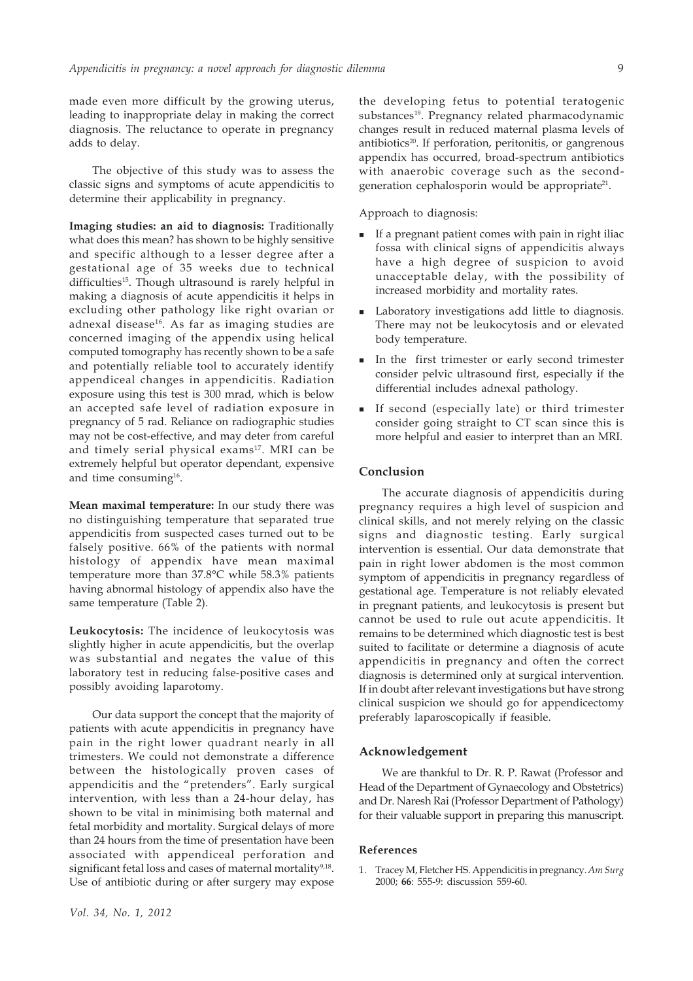made even more difficult by the growing uterus, leading to inappropriate delay in making the correct diagnosis. The reluctance to operate in pregnancy adds to delay.

The objective of this study was to assess the classic signs and symptoms of acute appendicitis to determine their applicability in pregnancy.

**Imaging studies: an aid to diagnosis:** Traditionally what does this mean? has shown to be highly sensitive and specific although to a lesser degree after a gestational age of 35 weeks due to technical difficulties<sup>15</sup>. Though ultrasound is rarely helpful in making a diagnosis of acute appendicitis it helps in excluding other pathology like right ovarian or adnexal disease<sup>16</sup>. As far as imaging studies are concerned imaging of the appendix using helical computed tomography has recently shown to be a safe and potentially reliable tool to accurately identify appendiceal changes in appendicitis. Radiation exposure using this test is 300 mrad, which is below an accepted safe level of radiation exposure in pregnancy of 5 rad. Reliance on radiographic studies may not be cost-effective, and may deter from careful and timely serial physical exams<sup>17</sup>. MRI can be extremely helpful but operator dependant, expensive and time consuming<sup>16</sup>.

**Mean maximal temperature:** In our study there was no distinguishing temperature that separated true appendicitis from suspected cases turned out to be falsely positive. 66% of the patients with normal histology of appendix have mean maximal temperature more than 37.8°C while 58.3% patients having abnormal histology of appendix also have the same temperature (Table 2).

**Leukocytosis:** The incidence of leukocytosis was slightly higher in acute appendicitis, but the overlap was substantial and negates the value of this laboratory test in reducing false-positive cases and possibly avoiding laparotomy.

Our data support the concept that the majority of patients with acute appendicitis in pregnancy have pain in the right lower quadrant nearly in all trimesters. We could not demonstrate a difference between the histologically proven cases of appendicitis and the "pretenders". Early surgical intervention, with less than a 24-hour delay, has shown to be vital in minimising both maternal and fetal morbidity and mortality. Surgical delays of more than 24 hours from the time of presentation have been associated with appendiceal perforation and significant fetal loss and cases of maternal mortality<sup>9,18</sup>. Use of antibiotic during or after surgery may expose

the developing fetus to potential teratogenic substances<sup>19</sup>. Pregnancy related pharmacodynamic changes result in reduced maternal plasma levels of antibiotics<sup>20</sup>. If perforation, peritonitis, or gangrenous appendix has occurred, broad-spectrum antibiotics with anaerobic coverage such as the secondgeneration cephalosporin would be appropriate<sup>21</sup>.

Approach to diagnosis:

- If a pregnant patient comes with pain in right iliac fossa with clinical signs of appendicitis always have a high degree of suspicion to avoid unacceptable delay, with the possibility of increased morbidity and mortality rates.
- Laboratory investigations add little to diagnosis. There may not be leukocytosis and or elevated body temperature.
- In the first trimester or early second trimester consider pelvic ultrasound first, especially if the differential includes adnexal pathology.
- If second (especially late) or third trimester consider going straight to CT scan since this is more helpful and easier to interpret than an MRI.

### **Conclusion**

The accurate diagnosis of appendicitis during pregnancy requires a high level of suspicion and clinical skills, and not merely relying on the classic signs and diagnostic testing. Early surgical intervention is essential. Our data demonstrate that pain in right lower abdomen is the most common symptom of appendicitis in pregnancy regardless of gestational age. Temperature is not reliably elevated in pregnant patients, and leukocytosis is present but cannot be used to rule out acute appendicitis. It remains to be determined which diagnostic test is best suited to facilitate or determine a diagnosis of acute appendicitis in pregnancy and often the correct diagnosis is determined only at surgical intervention. If in doubt after relevant investigations but have strong clinical suspicion we should go for appendicectomy preferably laparoscopically if feasible.

### **Acknowledgement**

We are thankful to Dr. R. P. Rawat (Professor and Head of the Department of Gynaecology and Obstetrics) and Dr. Naresh Rai (Professor Department of Pathology) for their valuable support in preparing this manuscript.

#### **References**

1. Tracey M, Fletcher HS. Appendicitis in pregnancy. *Am Surg* 2000; **66**: 555-9: discussion 559-60.